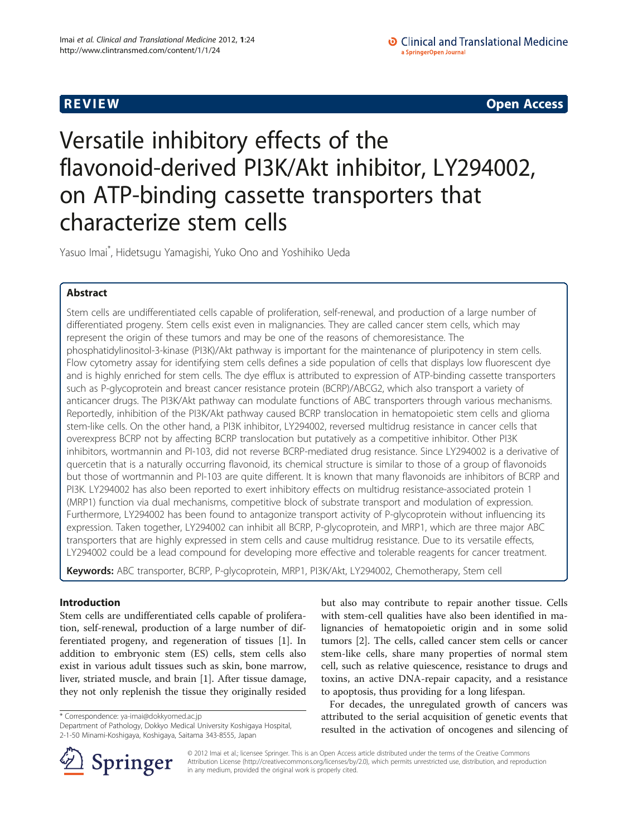**REVIEW CONSTRUCTION CONSTRUCTION CONSTRUCTS** 

# Versatile inhibitory effects of the flavonoid-derived PI3K/Akt inhibitor, LY294002, on ATP-binding cassette transporters that characterize stem cells

Yasuo Imai\* , Hidetsugu Yamagishi, Yuko Ono and Yoshihiko Ueda

# Abstract

Stem cells are undifferentiated cells capable of proliferation, self-renewal, and production of a large number of differentiated progeny. Stem cells exist even in malignancies. They are called cancer stem cells, which may represent the origin of these tumors and may be one of the reasons of chemoresistance. The phosphatidylinositol-3-kinase (PI3K)/Akt pathway is important for the maintenance of pluripotency in stem cells. Flow cytometry assay for identifying stem cells defines a side population of cells that displays low fluorescent dye and is highly enriched for stem cells. The dye efflux is attributed to expression of ATP-binding cassette transporters such as P-glycoprotein and breast cancer resistance protein (BCRP)/ABCG2, which also transport a variety of anticancer drugs. The PI3K/Akt pathway can modulate functions of ABC transporters through various mechanisms. Reportedly, inhibition of the PI3K/Akt pathway caused BCRP translocation in hematopoietic stem cells and glioma stem-like cells. On the other hand, a PI3K inhibitor, LY294002, reversed multidrug resistance in cancer cells that overexpress BCRP not by affecting BCRP translocation but putatively as a competitive inhibitor. Other PI3K inhibitors, wortmannin and PI-103, did not reverse BCRP-mediated drug resistance. Since LY294002 is a derivative of quercetin that is a naturally occurring flavonoid, its chemical structure is similar to those of a group of flavonoids but those of wortmannin and PI-103 are quite different. It is known that many flavonoids are inhibitors of BCRP and PI3K. LY294002 has also been reported to exert inhibitory effects on multidrug resistance-associated protein 1 (MRP1) function via dual mechanisms, competitive block of substrate transport and modulation of expression. Furthermore, LY294002 has been found to antagonize transport activity of P-glycoprotein without influencing its expression. Taken together, LY294002 can inhibit all BCRP, P-glycoprotein, and MRP1, which are three major ABC transporters that are highly expressed in stem cells and cause multidrug resistance. Due to its versatile effects, LY294002 could be a lead compound for developing more effective and tolerable reagents for cancer treatment.

Keywords: ABC transporter, BCRP, P-glycoprotein, MRP1, PI3K/Akt, LY294002, Chemotherapy, Stem cell

# Introduction

Stem cells are undifferentiated cells capable of proliferation, self-renewal, production of a large number of differentiated progeny, and regeneration of tissues [\[1\]](#page-6-0). In addition to embryonic stem (ES) cells, stem cells also exist in various adult tissues such as skin, bone marrow, liver, striated muscle, and brain [[1\]](#page-6-0). After tissue damage, they not only replenish the tissue they originally resided

\* Correspondence: [ya-imai@dokkyomed.ac.jp](mailto:ya-mai@dokkyomed.ac.jp)

Department of Pathology, Dokkyo Medical University Koshigaya Hospital, 2-1-50 Minami-Koshigaya, Koshigaya, Saitama 343-8555, Japan



For decades, the unregulated growth of cancers was attributed to the serial acquisition of genetic events that resulted in the activation of oncogenes and silencing of



© 2012 Imai et al.; licensee Springer. This is an Open Access article distributed under the terms of the Creative Commons Attribution License [\(http://creativecommons.org/licenses/by/2.0\)](http://creativecommons.org/licenses/by/2.0), which permits unrestricted use, distribution, and reproduction in any medium, provided the original work is properly cited.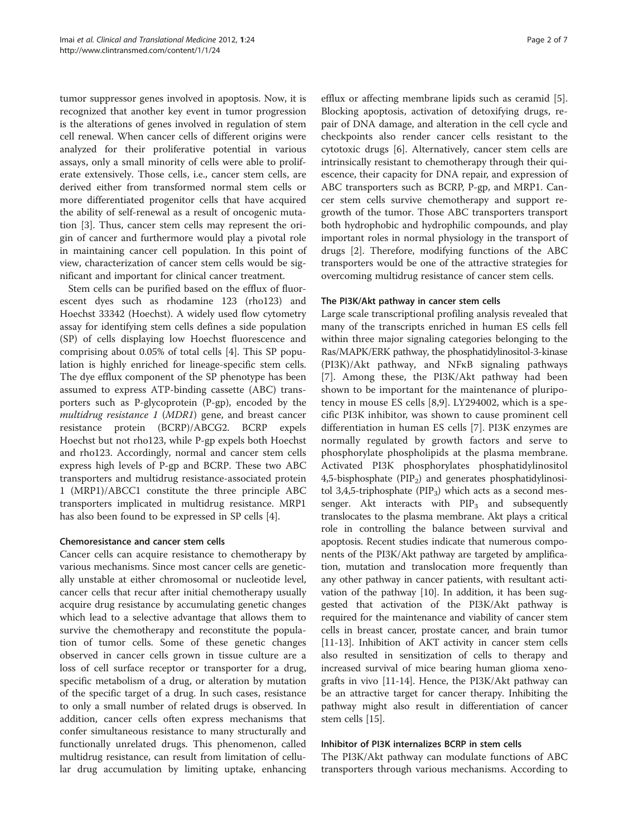tumor suppressor genes involved in apoptosis. Now, it is recognized that another key event in tumor progression is the alterations of genes involved in regulation of stem cell renewal. When cancer cells of different origins were analyzed for their proliferative potential in various assays, only a small minority of cells were able to proliferate extensively. Those cells, i.e., cancer stem cells, are derived either from transformed normal stem cells or more differentiated progenitor cells that have acquired the ability of self-renewal as a result of oncogenic mutation [[3\]](#page-6-0). Thus, cancer stem cells may represent the origin of cancer and furthermore would play a pivotal role in maintaining cancer cell population. In this point of view, characterization of cancer stem cells would be significant and important for clinical cancer treatment.

Stem cells can be purified based on the efflux of fluorescent dyes such as rhodamine 123 (rho123) and Hoechst 33342 (Hoechst). A widely used flow cytometry assay for identifying stem cells defines a side population (SP) of cells displaying low Hoechst fluorescence and comprising about 0.05% of total cells [[4\]](#page-6-0). This SP population is highly enriched for lineage-specific stem cells. The dye efflux component of the SP phenotype has been assumed to express ATP-binding cassette (ABC) transporters such as P-glycoprotein (P-gp), encoded by the multidrug resistance 1 (MDR1) gene, and breast cancer resistance protein (BCRP)/ABCG2. BCRP expels Hoechst but not rho123, while P-gp expels both Hoechst and rho123. Accordingly, normal and cancer stem cells express high levels of P-gp and BCRP. These two ABC transporters and multidrug resistance-associated protein 1 (MRP1)/ABCC1 constitute the three principle ABC transporters implicated in multidrug resistance. MRP1 has also been found to be expressed in SP cells [\[4](#page-6-0)].

# Chemoresistance and cancer stem cells

Cancer cells can acquire resistance to chemotherapy by various mechanisms. Since most cancer cells are genetically unstable at either chromosomal or nucleotide level, cancer cells that recur after initial chemotherapy usually acquire drug resistance by accumulating genetic changes which lead to a selective advantage that allows them to survive the chemotherapy and reconstitute the population of tumor cells. Some of these genetic changes observed in cancer cells grown in tissue culture are a loss of cell surface receptor or transporter for a drug, specific metabolism of a drug, or alteration by mutation of the specific target of a drug. In such cases, resistance to only a small number of related drugs is observed. In addition, cancer cells often express mechanisms that confer simultaneous resistance to many structurally and functionally unrelated drugs. This phenomenon, called multidrug resistance, can result from limitation of cellular drug accumulation by limiting uptake, enhancing efflux or affecting membrane lipids such as ceramid [\[5](#page-6-0)]. Blocking apoptosis, activation of detoxifying drugs, repair of DNA damage, and alteration in the cell cycle and checkpoints also render cancer cells resistant to the cytotoxic drugs [\[6](#page-6-0)]. Alternatively, cancer stem cells are intrinsically resistant to chemotherapy through their quiescence, their capacity for DNA repair, and expression of ABC transporters such as BCRP, P-gp, and MRP1. Cancer stem cells survive chemotherapy and support regrowth of the tumor. Those ABC transporters transport both hydrophobic and hydrophilic compounds, and play important roles in normal physiology in the transport of drugs [[2\]](#page-6-0). Therefore, modifying functions of the ABC transporters would be one of the attractive strategies for overcoming multidrug resistance of cancer stem cells.

# The PI3K/Akt pathway in cancer stem cells

Large scale transcriptional profiling analysis revealed that many of the transcripts enriched in human ES cells fell within three major signaling categories belonging to the Ras/MAPK/ERK pathway, the phosphatidylinositol-3-kinase (PI3K)/Akt pathway, and NFκB signaling pathways [[7\]](#page-6-0). Among these, the PI3K/Akt pathway had been shown to be important for the maintenance of pluripotency in mouse ES cells [\[8](#page-6-0),[9\]](#page-6-0). LY294002, which is a specific PI3K inhibitor, was shown to cause prominent cell differentiation in human ES cells [[7\]](#page-6-0). PI3K enzymes are normally regulated by growth factors and serve to phosphorylate phospholipids at the plasma membrane. Activated PI3K phosphorylates phosphatidylinositol 4,5-bisphosphate ( $PIP<sub>2</sub>$ ) and generates phosphatidylinositol 3,4,5-triphosphate ( $PIP_3$ ) which acts as a second messenger. Akt interacts with  $PIP_3$  and subsequently translocates to the plasma membrane. Akt plays a critical role in controlling the balance between survival and apoptosis. Recent studies indicate that numerous components of the PI3K/Akt pathway are targeted by amplification, mutation and translocation more frequently than any other pathway in cancer patients, with resultant activation of the pathway [[10](#page-6-0)]. In addition, it has been suggested that activation of the PI3K/Akt pathway is required for the maintenance and viability of cancer stem cells in breast cancer, prostate cancer, and brain tumor [[11](#page-6-0)-[13\]](#page-6-0). Inhibition of AKT activity in cancer stem cells also resulted in sensitization of cells to therapy and increased survival of mice bearing human glioma xenografts in vivo [[11](#page-6-0)-[14](#page-6-0)]. Hence, the PI3K/Akt pathway can be an attractive target for cancer therapy. Inhibiting the pathway might also result in differentiation of cancer stem cells [\[15\]](#page-6-0).

# Inhibitor of PI3K internalizes BCRP in stem cells

The PI3K/Akt pathway can modulate functions of ABC transporters through various mechanisms. According to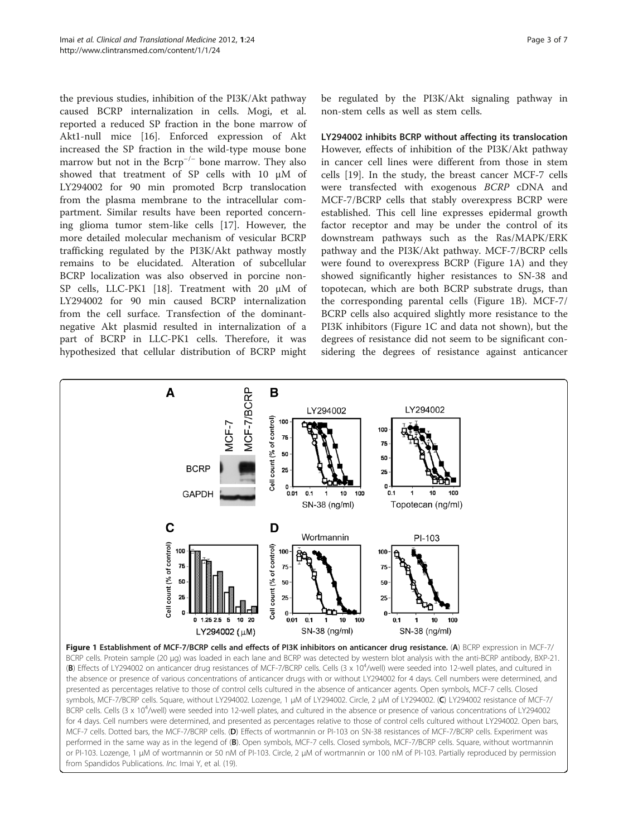<span id="page-2-0"></span>the previous studies, inhibition of the PI3K/Akt pathway caused BCRP internalization in cells. Mogi, et al. reported a reduced SP fraction in the bone marrow of Akt1-null mice [[16\]](#page-6-0). Enforced expression of Akt increased the SP fraction in the wild-type mouse bone marrow but not in the  $Bcrp^{-/-}$  bone marrow. They also showed that treatment of SP cells with 10 μM of LY294002 for 90 min promoted Bcrp translocation from the plasma membrane to the intracellular compartment. Similar results have been reported concerning glioma tumor stem-like cells [\[17\]](#page-6-0). However, the more detailed molecular mechanism of vesicular BCRP trafficking regulated by the PI3K/Akt pathway mostly remains to be elucidated. Alteration of subcellular BCRP localization was also observed in porcine non-SP cells, LLC-PK1 [[18](#page-6-0)]. Treatment with 20 μM of LY294002 for 90 min caused BCRP internalization from the cell surface. Transfection of the dominantnegative Akt plasmid resulted in internalization of a part of BCRP in LLC-PK1 cells. Therefore, it was hypothesized that cellular distribution of BCRP might

be regulated by the PI3K/Akt signaling pathway in non-stem cells as well as stem cells.

LY294002 inhibits BCRP without affecting its translocation However, effects of inhibition of the PI3K/Akt pathway in cancer cell lines were different from those in stem cells [\[19\]](#page-6-0). In the study, the breast cancer MCF-7 cells were transfected with exogenous BCRP cDNA and MCF-7/BCRP cells that stably overexpress BCRP were established. This cell line expresses epidermal growth factor receptor and may be under the control of its downstream pathways such as the Ras/MAPK/ERK pathway and the PI3K/Akt pathway. MCF-7/BCRP cells were found to overexpress BCRP (Figure 1A) and they showed significantly higher resistances to SN-38 and topotecan, which are both BCRP substrate drugs, than the corresponding parental cells (Figure 1B). MCF-7/ BCRP cells also acquired slightly more resistance to the PI3K inhibitors (Figure 1C and data not shown), but the degrees of resistance did not seem to be significant considering the degrees of resistance against anticancer

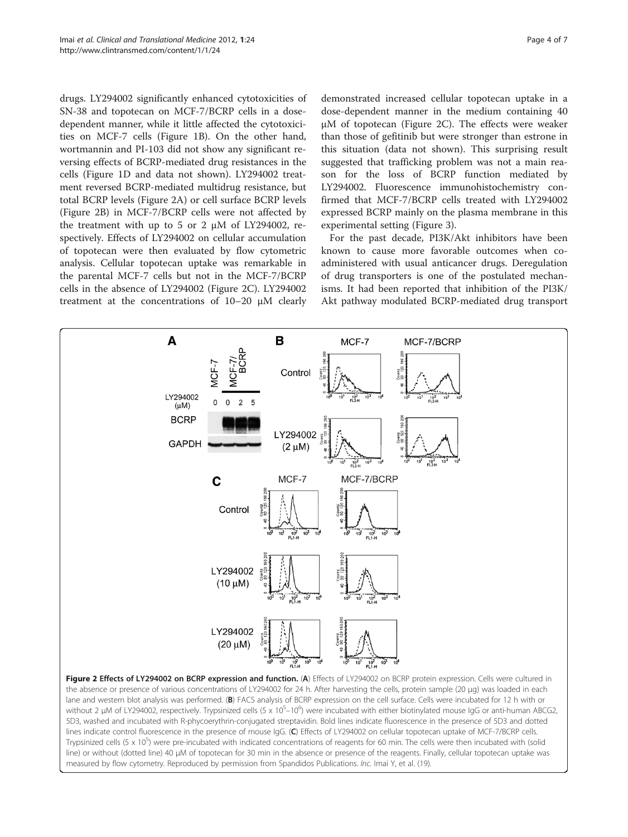drugs. LY294002 significantly enhanced cytotoxicities of SN-38 and topotecan on MCF-7/BCRP cells in a dosedependent manner, while it little affected the cytotoxicities on MCF-7 cells (Figure [1B](#page-2-0)). On the other hand, wortmannin and PI-103 did not show any significant reversing effects of BCRP-mediated drug resistances in the cells (Figure [1D](#page-2-0) and data not shown). LY294002 treatment reversed BCRP-mediated multidrug resistance, but total BCRP levels (Figure 2A) or cell surface BCRP levels (Figure 2B) in MCF-7/BCRP cells were not affected by the treatment with up to 5 or 2 μM of LY294002, respectively. Effects of LY294002 on cellular accumulation of topotecan were then evaluated by flow cytometric analysis. Cellular topotecan uptake was remarkable in the parental MCF-7 cells but not in the MCF-7/BCRP cells in the absence of LY294002 (Figure 2C). LY294002 treatment at the concentrations of 10–20 μM clearly

A

demonstrated increased cellular topotecan uptake in a dose-dependent manner in the medium containing 40 μM of topotecan (Figure 2C). The effects were weaker than those of gefitinib but were stronger than estrone in this situation (data not shown). This surprising result suggested that trafficking problem was not a main reason for the loss of BCRP function mediated by LY294002. Fluorescence immunohistochemistry confirmed that MCF-7/BCRP cells treated with LY294002 expressed BCRP mainly on the plasma membrane in this experimental setting (Figure [3\)](#page-4-0).

For the past decade, PI3K/Akt inhibitors have been known to cause more favorable outcomes when coadministered with usual anticancer drugs. Deregulation of drug transporters is one of the postulated mechanisms. It had been reported that inhibition of the PI3K/ Akt pathway modulated BCRP-mediated drug transport

MCF-7/BCRP



B

MCF-7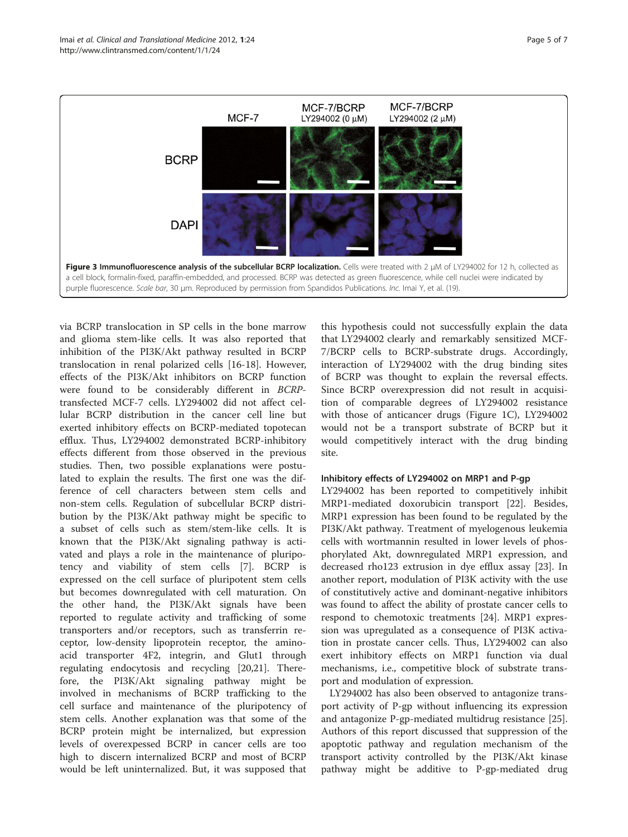<span id="page-4-0"></span>

via BCRP translocation in SP cells in the bone marrow and glioma stem-like cells. It was also reported that inhibition of the PI3K/Akt pathway resulted in BCRP translocation in renal polarized cells [\[16](#page-6-0)-[18\]](#page-6-0). However, effects of the PI3K/Akt inhibitors on BCRP function were found to be considerably different in BCRPtransfected MCF-7 cells. LY294002 did not affect cellular BCRP distribution in the cancer cell line but exerted inhibitory effects on BCRP-mediated topotecan efflux. Thus, LY294002 demonstrated BCRP-inhibitory effects different from those observed in the previous studies. Then, two possible explanations were postulated to explain the results. The first one was the difference of cell characters between stem cells and non-stem cells. Regulation of subcellular BCRP distribution by the PI3K/Akt pathway might be specific to a subset of cells such as stem/stem-like cells. It is known that the PI3K/Akt signaling pathway is activated and plays a role in the maintenance of pluripotency and viability of stem cells [[7\]](#page-6-0). BCRP is expressed on the cell surface of pluripotent stem cells but becomes downregulated with cell maturation. On the other hand, the PI3K/Akt signals have been reported to regulate activity and trafficking of some transporters and/or receptors, such as transferrin receptor, low-density lipoprotein receptor, the aminoacid transporter 4F2, integrin, and Glut1 through regulating endocytosis and recycling [\[20,21](#page-6-0)]. Therefore, the PI3K/Akt signaling pathway might be involved in mechanisms of BCRP trafficking to the cell surface and maintenance of the pluripotency of stem cells. Another explanation was that some of the BCRP protein might be internalized, but expression levels of overexpessed BCRP in cancer cells are too high to discern internalized BCRP and most of BCRP would be left uninternalized. But, it was supposed that

this hypothesis could not successfully explain the data that LY294002 clearly and remarkably sensitized MCF-7/BCRP cells to BCRP-substrate drugs. Accordingly, interaction of LY294002 with the drug binding sites of BCRP was thought to explain the reversal effects. Since BCRP overexpression did not result in acquisition of comparable degrees of LY294002 resistance with those of anticancer drugs (Figure [1C\)](#page-2-0), LY294002 would not be a transport substrate of BCRP but it would competitively interact with the drug binding site.

### Inhibitory effects of LY294002 on MRP1 and P-gp

LY294002 has been reported to competitively inhibit MRP1-mediated doxorubicin transport [[22\]](#page-6-0). Besides, MRP1 expression has been found to be regulated by the PI3K/Akt pathway. Treatment of myelogenous leukemia cells with wortmannin resulted in lower levels of phosphorylated Akt, downregulated MRP1 expression, and decreased rho123 extrusion in dye efflux assay [[23](#page-6-0)]. In another report, modulation of PI3K activity with the use of constitutively active and dominant-negative inhibitors was found to affect the ability of prostate cancer cells to respond to chemotoxic treatments [[24\]](#page-6-0). MRP1 expression was upregulated as a consequence of PI3K activation in prostate cancer cells. Thus, LY294002 can also exert inhibitory effects on MRP1 function via dual mechanisms, i.e., competitive block of substrate transport and modulation of expression.

LY294002 has also been observed to antagonize transport activity of P-gp without influencing its expression and antagonize P-gp-mediated multidrug resistance [\[25](#page-6-0)]. Authors of this report discussed that suppression of the apoptotic pathway and regulation mechanism of the transport activity controlled by the PI3K/Akt kinase pathway might be additive to P-gp-mediated drug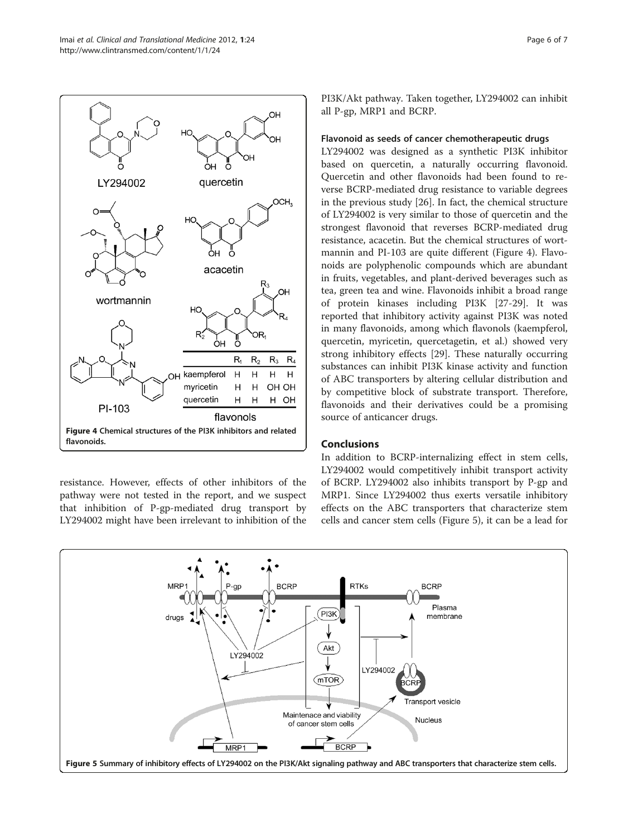

resistance. However, effects of other inhibitors of the pathway were not tested in the report, and we suspect that inhibition of P-gp-mediated drug transport by LY294002 might have been irrelevant to inhibition of the PI3K/Akt pathway. Taken together, LY294002 can inhibit all P-gp, MRP1 and BCRP.

## Flavonoid as seeds of cancer chemotherapeutic drugs

LY294002 was designed as a synthetic PI3K inhibitor based on quercetin, a naturally occurring flavonoid. Quercetin and other flavonoids had been found to reverse BCRP-mediated drug resistance to variable degrees in the previous study [[26\]](#page-6-0). In fact, the chemical structure of LY294002 is very similar to those of quercetin and the strongest flavonoid that reverses BCRP-mediated drug resistance, acacetin. But the chemical structures of wortmannin and PI-103 are quite different (Figure 4). Flavonoids are polyphenolic compounds which are abundant in fruits, vegetables, and plant-derived beverages such as tea, green tea and wine. Flavonoids inhibit a broad range of protein kinases including PI3K [[27-29\]](#page-6-0). It was reported that inhibitory activity against PI3K was noted in many flavonoids, among which flavonols (kaempferol, quercetin, myricetin, quercetagetin, et al.) showed very strong inhibitory effects [[29\]](#page-6-0). These naturally occurring substances can inhibit PI3K kinase activity and function of ABC transporters by altering cellular distribution and by competitive block of substrate transport. Therefore, flavonoids and their derivatives could be a promising source of anticancer drugs.

# Conclusions

In addition to BCRP-internalizing effect in stem cells, LY294002 would competitively inhibit transport activity of BCRP. LY294002 also inhibits transport by P-gp and MRP1. Since LY294002 thus exerts versatile inhibitory effects on the ABC transporters that characterize stem cells and cancer stem cells (Figure 5), it can be a lead for